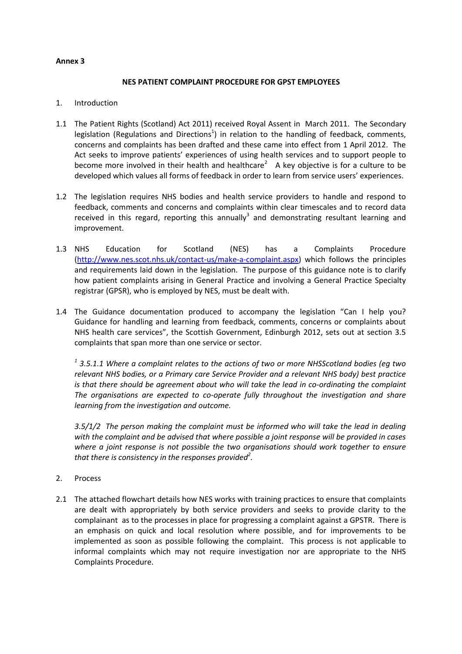### **Annex 3**

#### **NES PATIENT COMPLAINT PROCEDURE FOR GPST EMPLOYEES**

#### 1. Introduction

- 1.1 The Patient Rights (Scotland) Act 2011) received Royal Assent in March 2011. The Secondary legislation (Regulations and Directions<sup>1</sup>) in relation to the handling of feedback, comments, concerns and complaints has been drafted and these came into effect from 1 April 2012. The Act seeks to improve patients' experiences of using health services and to support people to become more involved in their health and healthcare<sup>2</sup> A key objective is for a culture to be developed which values all forms of feedback in order to learn from service users' experiences.
- 1.2 The legislation requires NHS bodies and health service providers to handle and respond to feedback, comments and concerns and complaints within clear timescales and to record data received in this regard, reporting this annually<sup>3</sup> and demonstrating resultant learning and improvement.
- 1.3 NHS Education for Scotland (NES) has a Complaints Procedure [\(http://www.nes.scot.nhs.uk/contact-us/make-a-complaint.aspx\)](http://www.nes.scot.nhs.uk/contact-us/make-a-complaint.aspx) which follows the principles and requirements laid down in the legislation. The purpose of this guidance note is to clarify how patient complaints arising in General Practice and involving a General Practice Specialty registrar (GPSR), who is employed by NES, must be dealt with.
- 1.4 The Guidance documentation produced to accompany the legislation "Can I help you? Guidance for handling and learning from feedback, comments, concerns or complaints about NHS health care services", the Scottish Government, Edinburgh 2012, sets out at section 3.5 complaints that span more than one service or sector.

*1 3.5.1.1 Where a complaint relates to the actions of two or more NHSScotland bodies (eg two relevant NHS bodies, or a Primary care Service Provider and a relevant NHS body) best practice is that there should be agreement about who will take the lead in co-ordinating the complaint The organisations are expected to co-operate fully throughout the investigation and share learning from the investigation and outcome.*

*3.5/1/2 The person making the complaint must be informed who will take the lead in dealing with the complaint and be advised that where possible a joint response will be provided in cases where a joint response is not possible the two organisations should work together to ensure that there is consistency in the responses provided<sup>2</sup> .*

- 2. Process
- 2.1 The attached flowchart details how NES works with training practices to ensure that complaints are dealt with appropriately by both service providers and seeks to provide clarity to the complainant as to the processes in place for progressing a complaint against a GPSTR. There is an emphasis on quick and local resolution where possible, and for improvements to be implemented as soon as possible following the complaint. This process is not applicable to informal complaints which may not require investigation nor are appropriate to the NHS Complaints Procedure.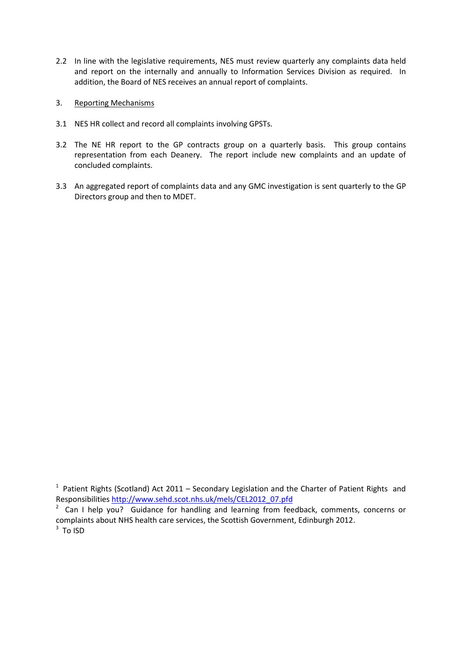- 2.2 In line with the legislative requirements, NES must review quarterly any complaints data held and report on the internally and annually to Information Services Division as required. In addition, the Board of NES receives an annual report of complaints.
- 3. Reporting Mechanisms
- 3.1 NES HR collect and record all complaints involving GPSTs.
- 3.2 The NE HR report to the GP contracts group on a quarterly basis. This group contains representation from each Deanery. The report include new complaints and an update of concluded complaints.
- 3.3 An aggregated report of complaints data and any GMC investigation is sent quarterly to the GP Directors group and then to MDET.

 $1$  Patient Rights (Scotland) Act 2011 – Secondary Legislation and the Charter of Patient Rights and Responsibilities [http://www.sehd.scot.nhs.uk/mels/CEL2012\\_07.pfd](http://www.sehd.scot.nhs.uk/mels/CEL2012_07.pfd)

<sup>&</sup>lt;sup>2</sup> Can I help you? Guidance for handling and learning from feedback, comments, concerns or complaints about NHS health care services, the Scottish Government, Edinburgh 2012.  $3$  To ISD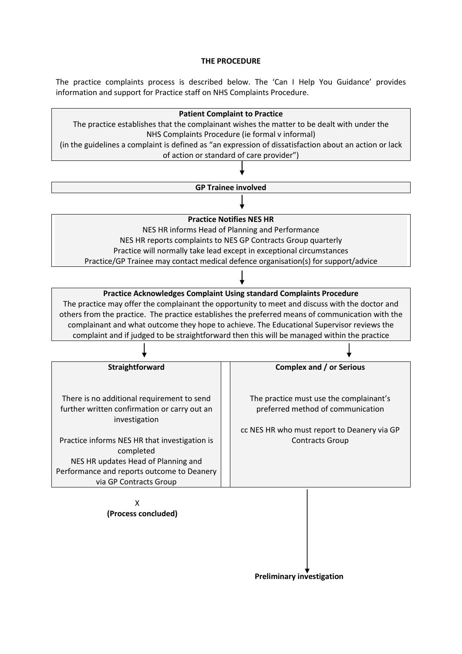#### **THE PROCEDURE**

The practice complaints process is described below. The 'Can I Help You Guidance' provides information and support for Practice staff on NHS Complaints Procedure.



 **Preliminary investigation**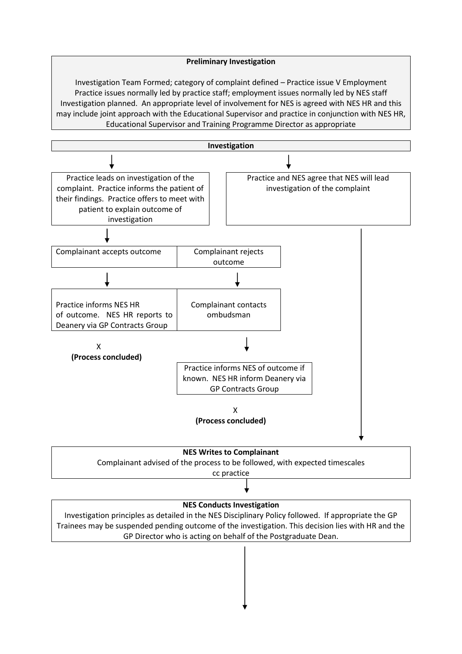### **Preliminary Investigation**

Investigation Team Formed; category of complaint defined – Practice issue V Employment Practice issues normally led by practice staff; employment issues normally led by NES staff Investigation planned. An appropriate level of involvement for NES is agreed with NES HR and this may include joint approach with the Educational Supervisor and practice in conjunction with NES HR, Educational Supervisor and Training Programme Director as appropriate





# cc practice

## **NES Conducts Investigation**

Investigation principles as detailed in the NES Disciplinary Policy followed. If appropriate the GP Trainees may be suspended pending outcome of the investigation. This decision lies with HR and the GP Director who is acting on behalf of the Postgraduate Dean.